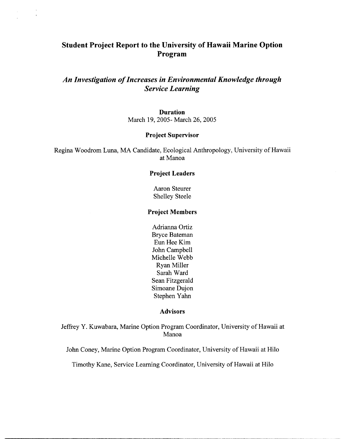# **Student Project Report to the University of Hawaii Marine Option Program**

# *An Investigation of Increases in Environmental Knowledge through Service Learning*

**Duration**  March 19,2005- March 26,2005

## **Project Supervisor**

Regina Woodrom Luna, MA Candidate, Ecological Anthropology, University of Hawaii at Manoa

### **Project Leaders**

Aaron Steurer Shelley Steele

## **Project Members**

Adrianna Ortiz Bryce Bateman Eun Hee Kim John Campbell Michelle Webb Ryan Miller Sarah Ward Sean Fitzgerald Simoane Dujon Stephen Yahn

#### **Advisors**

Jeffrey Y. Kuwabara, Marine Option Program Coordinator, University of Hawaii at Manoa

John Coney, Marine Option Program Coordinator, University of Hawaii at Hilo

Timothy Kane, Service Learning Coordinator, University of Hawaii at Hilo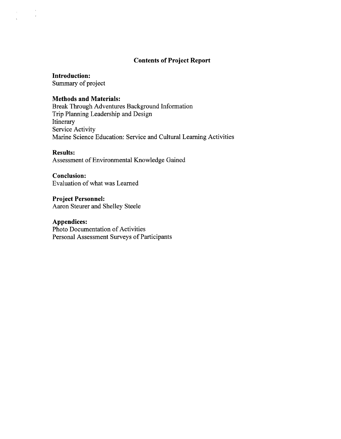## **Contents of Project Report**

**Introduction:**  Summary of project

## **Methods and Materials:**

Break Through Adventures Background Information Trip Planning Leadership and Design Itinerary Service Activity Marine Science Education: Service and Cultural Learning Activities

#### **Results:**

 $\mathcal{L}$ 

Assessment of Environmental Knowledge Gained

## **Conclusion:**

Evaluation of what was Learned

**Project Personnel:**  Aaron Steurer and Shelley Steele

## **Appendices:**

Photo Documentation of Activities Personal Assessment Surveys of Participants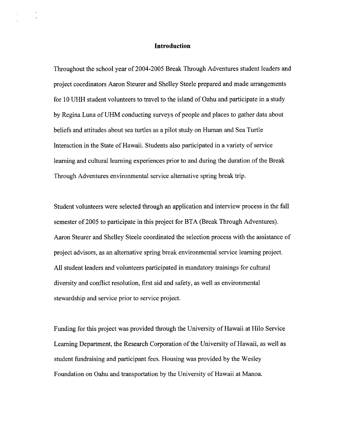#### **Introduction**

Throughout the school year of 2004-2005 Break Through Adventures student leaders and project coordinators Aaron Steurer and Shelley Steele prepared and made arrangements for 10 UHH student volunteers to travel to the island of Oahu and participate in a study by Regina Luna of UHM conducting surveys of people and places to gather data about beliefs and attitudes about sea turtles as a pilot study on Human and Sea Turtle Interaction in the State of Hawaii. Students also participated in a variety of service learning and cultural learning experiences prior to and during the duration of the Break Through Adventures environmental service alternative spring break trip.

Student volunteers were selected through an application and interview process in the fall semester of 2005 to participate in this project for BTA (Break Through Adventures). Aaron Steurer and Shelley Steele coordinated the selection process with the assistance of project advisors, as an alternative spring break environmental service learning project. All student leaders and volunteers participated in mandatory trainings for cultural diversity and conflict resolution, first aid and safety, as well as environmental stewardship and service prior to service project.

Funding for this project was provided through the University of Hawaii at Hilo Service Learning Department, the Research Corporation of the University of Hawaii, as well as student hndraising and participant fees. Housing was provided by the Wesley Foundation on Oahu and transportation by the University of Hawaii at Manoa.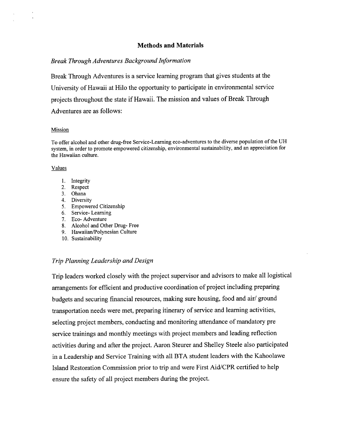## **Methods and Materials**

#### *Break Through Adventures Background Information*

Break Through Adventures is a service learning program that gives students at the University of Hawaii at Hilo the opportunity to participate in environmental service projects throughout the state if Hawaii. The mission and values of Break Through Adventures are as follows:

#### Mission

To offer alcohol and other drug-free Service-Learning eco-adventures to the diverse population of the UH system, in order to promote empowered citizenship, environmental sustainability, and an appreciation for the Hawaiian culture.

#### Values

- 1. Integrity
- 2. Respect
- 3. Ohana
- 4. Diversity
- 5. Empowered Citizenship
- 6. Service- Learning
- 7. Eco- Adventure
- 8. Alcohol and Other Drug- Free
- 9. Hawaiian/Polynesian Culture
- 10. Sustainability

## *Trip Planning Leadership and Design*

Trip leaders worked closely with the project supervisor and advisors to make all logistical arrangements for efficient and productive coordination of project including preparing budgets and securing financial resources, making sure housing, food and air/ ground transportation needs were met, preparing itinerary of service and learning activities, selecting project members, conducting and monitoring attendance of mandatory pre service trainings and monthly meetings with project members and leading reflection activities during and after the project. Aaron Steurer and Shelley Steele also participated in a Leadership and Service Training with all BTA student leaders with the Kahoolawe Island Restoration Commission prior to trip and were First Aid/CPR certified to help ensure the safety of all project members during the project.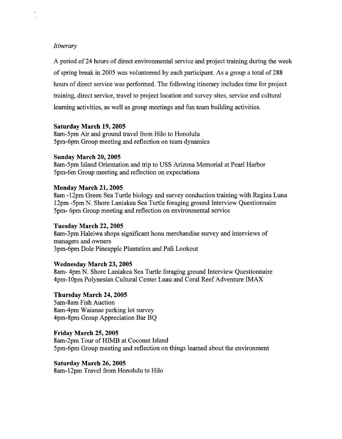## *Itinerary*

A period of 24 hours of direct environmental service and project training during the week of spring break in 2005 was volunteered by each participant. As a group a total of 288 hours of direct service was performed. The following itinerary includes time for project training, direct service, travel to project location and survey sites, service and cultural learning activities, as well as group meetings and fun team building activities.

## **Saturday March 19,2005**

8am-5pm Air and ground travel from Hilo to Honolulu 5pm-6pm Group meeting and reflection on team dynamics

## **Sunday March 20,2005**

8am-5pm Island Orientation and trip to USS Arizona Memorial at Pearl Harbor 5pm-6m Group meeting and reflection on expectations

## **Monday March 21,2005**

8am -12pm Green Sea Turtle biology and survey conduction training with Regina Luna 12pm -5pm N. Shore Laniakea Sea Turtle foraging ground Interview Questionnaire 5pm- 6pm Group meeting and reflection on environmental service

## **Tuesday March 22,2005**

8am-3pm Haleiwa shops significant honu merchandise survey and interviews of managers and owners 3pm-6pm Dole Pineapple Plantation and Pali Lookout

## **Wednesday March 23,2005**

8am- 4pm **N.** Shore Laniakea Sea Turtle foraging ground Interview Questionnaire 4pm-1 Opm Polynesian Cultural Center Luau and Coral Reef Adventure IMAX

## **Thursday March 24,2005**

5arn-8am Fish Auction 8am-4pm Waianae parking lot survey 4pm-8pm Group Appreciation Bar BQ

## **Friday March 25,2005**

8am-2pm Tour of HIMB at Coconut Island 5pm-6pm Group meeting and reflection on things learned about the environment

## **Saturday March 26,2005**

8am- 12pm Travel from Honolulu to Hilo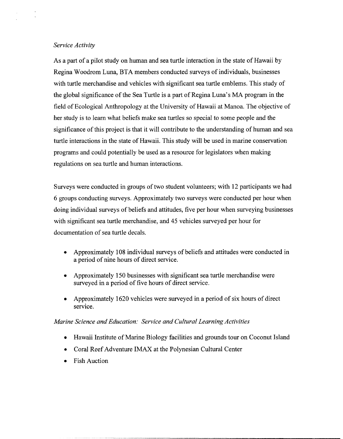## *Service Activity*

As a part of a pilot study on human and sea turtle interaction in the state of Hawaii by Regina Woodrom Luna, BTA members conducted surveys of individuals, businesses with turtle merchandise and vehicles with significant sea turtle emblems. This study of the global significance of the Sea Turtle is a part of Regina Luna's MA program in the field of Ecological Anthropology at the University of Hawaii at Manoa. The objective of her study is to learn what beliefs make sea turtles so special to some people and the significance of this project is that it will contribute to the understanding of human and sea turtle interactions in the state of Hawaii. This study will be used in marine conservation programs and could potentially be used as a resource for legislators when making regulations on sea turtle and human interactions.

Surveys were conducted in groups of two student volunteers; with 12 participants we had 6 groups conducting surveys. Approximately two surveys were conducted per hour when doing individual surveys of beliefs and attitudes, five per hour when surveying businesses with significant sea turtle merchandise, and 45 vehicles surveyed per hour for documentation of sea turtle decals.

- Approximately 108 individual surveys of beliefs and attitudes were conducted in a period of nine hours of direct service.
- Approximately 150 businesses with significant sea turtle merchandise were surveyed in a period of five hours of direct service.
- Approximately 1620 vehicles were surveyed in a period of six hours of direct service.

## *Marine Science and Education: Service and Cultural Learning Activities*

- Hawaii Institute of Marine Biology facilities and grounds tour on Coconut Island
- Coral Reef Adventure IMAX at the Polynesian Cultural Center
- Fish Auction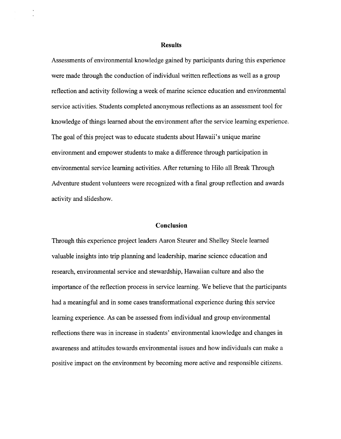#### **Results**

Assessments of environmental knowledge gained by participants during this experience were made through the conduction of individual written reflections as well as a group reflection and activity following a week of marine science education and environmental service activities. Students completed anonymous reflections as an assessment tool for knowledge of things learned about the environment after the service learning experience. The goal of this project was to educate students about Hawaii's unique marine environment and empower students to make a difference through participation in environmental service learning activities. After returning to Hilo all Break Through Adventure student volunteers were recognized with a final group reflection and awards activity and slideshow.

#### **Conclusion**

Through this experience project leaders Aaron Steurer and Shelley Steele learned valuable insights into trip planning and leadership, marine science education and research, environmental service and stewardship, Hawaiian culture and also the importance of the reflection process in service learning. We believe that the participants had a meaningful and in some cases transformational experience during this service learning experience. As can be assessed from individual and group environmental reflections there was in increase in students' environmental knowledge and changes in awareness and attitudes towards environmental issues and how individuals can make a positive impact on the environment by becoming more active and responsible citizens.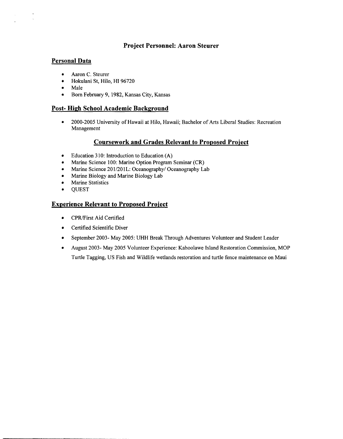## **Project Personnel: Aaron Steurer**

## **Personal Data**

 $\bar{z}$ 

- Aaron C. Steurer  $\bullet$
- $\bullet$ Hokulani St, Hilo, HI 96720
- $\bullet$ Male
- Born February 9, 1982, Kansas City, Kansas  $\bullet$

## **Post- High School Academic Background**

 $\bullet$ 2000-2005 University of Hawaii at Hilo, Hawaii; Bachelor of Arts Liberal Studies: Recreation Management

#### **Coursework and Grades Relevant to Proposed Proiect**

- $\bullet$ Education 3 10: Introduction to Education (A)
- Marine Science 100: Marine Option Program Seminar (CR)  $\bullet$
- Marine Science 201/201L: Oceanography/ Oceanography Lab  $\bullet$
- Marine Biology and Marine Biology Lab  $\bullet$
- Marine Statistics  $\bullet$
- QUEST  $\bullet$

## **Experience Relevant to Proposed Proiect**

- CPR/First Aid Certified
- Certified Scientific Diver
- $\bullet$ September 2003- May 2005: UHH Break Through Adventures Volunteer and Student Leader
- August 2003- May 2005 Volunteer Experience: Kahoolawe Island Restoration Commission, MOP  $\bullet$ Turtle Tagging, US Fish and Wildlife wetlands restoration and turtle fence maintenance on Maui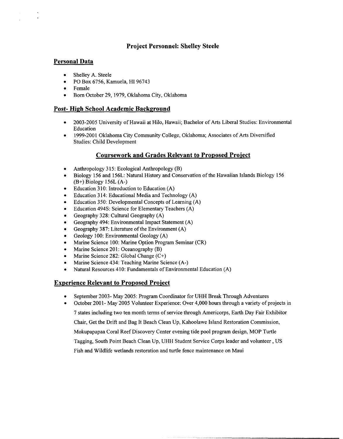## **Project Personnel: Shelley Steele**

## **Personal Data**

- Shelley A. Steele  $\bullet$
- PO Box 6756, Kamuela, HI 96743  $\bullet$
- $\bullet$ Female
- Born October 29,1979, Oklahoma City, Oklahoma

## **Post- High School Academic Background**

- 2003-2005 University of Hawaii at Hilo, Hawaii; Bachelor of Arts Liberal Studies: Environmental  $\bullet$ Education
- 1999-2001 Oklahoma City Community College, Oklahoma; Associates of Arts Diversified  $\bullet$ Studies: Child Development

## **Coursework and Grades Relevant to Proposed Proiect**

- Anthropology 3 15: Ecological Anthropology (B)
- Biology 156 and 156L: Natural History and Conservation of the Hawaiian Islands Biology 156 (B+) Biology 156L (A-)
- Education 3 10: Introduction to Education (A)
- Education 3 14: Educational Media and Technology (A)
- Education 350: Developmental Concepts of Learning (A)
- Education 4948: Science for Elementary Teachers (A)  $\bullet$
- $\bullet$ Geography 328: Cultural Geography (A)
- Geography 494: Environmental Impact Statement (A)  $\bullet$
- Geography 387: Literature of the Environment (A)
- Geology 100: Environmental Geology (A)
- Marine Science 100: Marine Option Program Seminar (CR)  $\bullet$
- Marine Science 201: Oceanography (B)
- Marine Science 282: Global Change (C+)
- Marine Science 434: Teaching Marine Science (A-)
- Natural Resources 410: Fundamentals of Environmental Education **(A)**

## **Experience Relevant to Proposed Proiect**

September 2003- May 2005: Program Coordinator for UHH Break Through Adventures

October 2001- May 2005 Volunteer Experience: Over 4,000 hours through a variety of projects in 7 states including two ten month terms of service through Americorps, Earth Day Fair Exhibitor Chair, Get the Drift and Bag It Beach Clean Up, Kahoolawe Island Restoration Commission, Mokupapapaa Coral Reef Discovery Center evening tide pool program design, MOP Turtle Tagging, South Point Beach Clean Up, UHH Student Service Corps leader and volunteer, US Fish and Wildlife wetlands restoration and turtle fence maintenance on Maui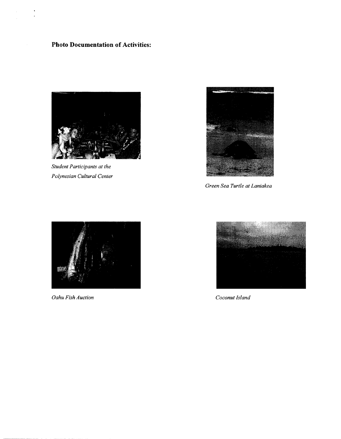# **Photo Documentation of Activities:**

 $\overline{a}$ 



*Student Participants at the Polynesian Cultural Center* 



*Green Sea Turtle at Laniakea* 



*Oahu Fish Auction Coconut Island* 

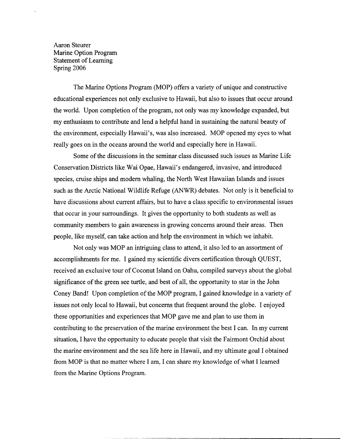Aaron Steurer Marine Option Program Statement of Learning Spring 2006

The Marine Options Program (MOP) offers a variety of unique and constructive educational experiences not only exclusive to Hawaii, but also to issues that occur around the world. Upon completion of the program, not only was my knowledge expanded, but my enthusiasm to contribute and lend a helpful hand in sustaining the natural beauty of the environment, especially Hawaii's, was also increased. MOP opened my eyes to what really goes on in the oceans around the world and especially here in Hawaii.

Some of the discussions in the seminar class discussed such issues as Marine Life Conservation Districts like Wai Opae, Hawaii's endangered, invasive, and introduced species, cruise ships and modern whaling, the North West Hawaiian Islands and issues such as the Arctic National Wildlife Refuge (ANWR) debates. Not only is it beneficial to have discussions about current affairs, but to have a class specific to environmental issues that occur in your surroundings. It gives the opportunity to both students as well as community members to gain awareness in growing concerns around their areas. Then people, like myself, can take action and help the environment in which we inhabit.

Not only was MOP an intriguing class to attend, it also led to an assortment of accomplishments for me. I gained my scientific divers certification through QUEST, received an exclusive tour of Coconut Island on Oahu, compiled surveys about the global significance of the green see turtle, and best of all, the opportunity to star in the John Coney Band! Upon completion of the MOP program, I gained knowledge in a variety of issues not only local to Hawaii, but concerns that frequent around the globe. I enjoyed these opportunities and experiences that MOP gave me and plan to use them in contributing to the preservation of the marine environment the best I can. In my current situation, I have the opportunity to educate people that visit the Fairmont Orchid about the marine environment and the sea life here in Hawaii, and my ultimate goal I obtained from MOP is that no matter where I am, I can share my knowledge of what I learned from the Marine Options Program.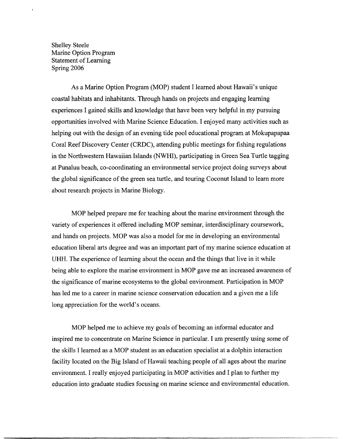Shelley Steele Marine Option Program Statement of Learning Spring 2006

As a Marine Option Program (MOP) student I learned about Hawaii's unique coastal habitats and inhabitants. Through hands on projects and engaging learning experiences I gained skills and knowledge that have been very helpful in my pursuing opportunities involved with Marine Science Education. I enjoyed many activities such as helping out with the design of an evening tide pool educational program at Mokupapapaa Coral Reef Discovery Center (CRDC), attending public meetings for fishing regulations in the Northwestern Hawaiian Islands (NWHI), participating in Green Sea Turtle tagging at Punaluu beach, co-coordinating an environmental service project doing surveys about the global significance of the green sea turtle, and touring Coconut Island to learn more about research projects in Marine Biology.

MOP helped prepare me for teaching about the marine environment through the variety of experiences it offered including MOP seminar, interdisciplinary coursework, and hands on projects. MOP was also a model for me in developing an environmental education liberal arts degree and was an important part of my marine science education at UHH. The experience of learning about the ocean and the things that live in it while being able to explore the marine environment in MOP gave me an increased awareness of the significance of marine ecosystems to the global environment. Participation in MOP has led me to a career in marine science conservation education and a given me a life long appreciation for the world's oceans.

MOP helped me to achieve my goals of becoming an informal educator and inspired me to concentrate on Marine Science in particular. I am presently using some of the skills I learned as a MOP student as an education specialist at a dolphin interaction facility located on the Big Island of Hawaii teaching people of all ages about the marine environment. I really enjoyed participating in MOP activities and I plan to further my education into graduate studies focusing on marine science and environmental education.